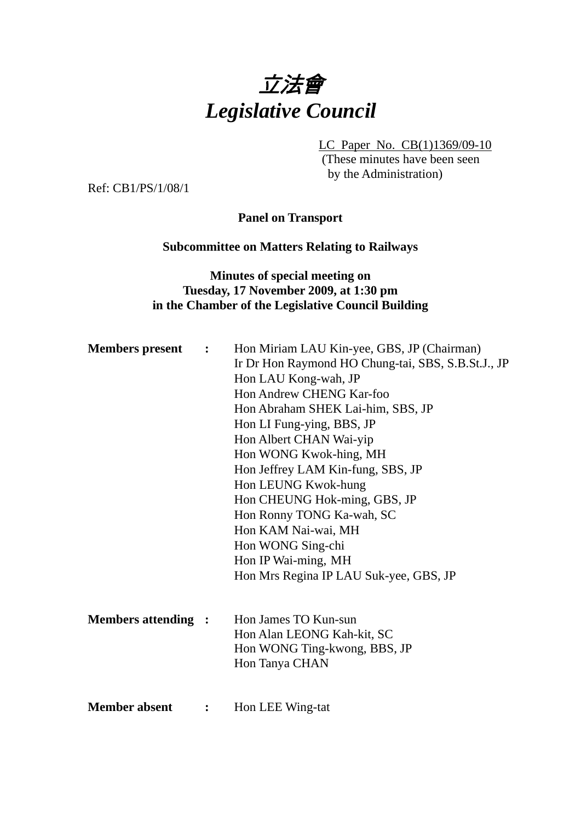

LC Paper No. CB(1)1369/09-10

(These minutes have been seen by the Administration)

Ref: CB1/PS/1/08/1

**Panel on Transport** 

#### **Subcommittee on Matters Relating to Railways**

### **Minutes of special meeting on Tuesday, 17 November 2009, at 1:30 pm in the Chamber of the Legislative Council Building**

| <b>Members present :</b>  |                | Hon Miriam LAU Kin-yee, GBS, JP (Chairman)         |
|---------------------------|----------------|----------------------------------------------------|
|                           |                | Ir Dr Hon Raymond HO Chung-tai, SBS, S.B.St.J., JP |
|                           |                | Hon LAU Kong-wah, JP                               |
|                           |                | Hon Andrew CHENG Kar-foo                           |
|                           |                | Hon Abraham SHEK Lai-him, SBS, JP                  |
|                           |                | Hon LI Fung-ying, BBS, JP                          |
|                           |                | Hon Albert CHAN Wai-yip                            |
|                           |                | Hon WONG Kwok-hing, MH                             |
|                           |                | Hon Jeffrey LAM Kin-fung, SBS, JP                  |
|                           |                | Hon LEUNG Kwok-hung                                |
|                           |                | Hon CHEUNG Hok-ming, GBS, JP                       |
|                           |                | Hon Ronny TONG Ka-wah, SC                          |
|                           |                | Hon KAM Nai-wai, MH                                |
|                           |                | Hon WONG Sing-chi                                  |
|                           |                | Hon IP Wai-ming, MH                                |
|                           |                | Hon Mrs Regina IP LAU Suk-yee, GBS, JP             |
|                           |                |                                                    |
| <b>Members attending:</b> |                | Hon James TO Kun-sun                               |
|                           |                | Hon Alan LEONG Kah-kit, SC                         |
|                           |                | Hon WONG Ting-kwong, BBS, JP                       |
|                           |                | Hon Tanya CHAN                                     |
|                           |                |                                                    |
| <b>Member absent</b>      | $\ddot{\cdot}$ | Hon LEE Wing-tat                                   |
|                           |                |                                                    |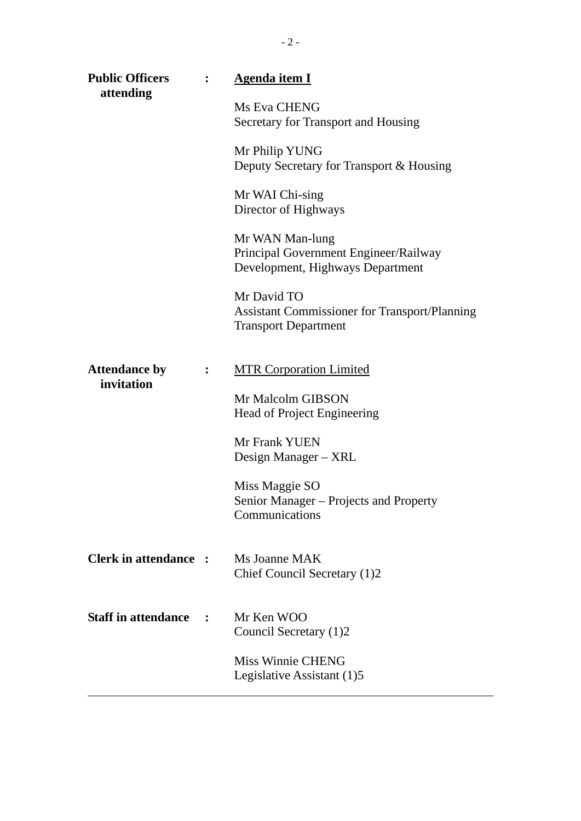| <b>Public Officers</b><br>attending | <b>Agenda item I</b>                                                                               |
|-------------------------------------|----------------------------------------------------------------------------------------------------|
|                                     | Ms Eva CHENG<br>Secretary for Transport and Housing                                                |
|                                     | Mr Philip YUNG<br>Deputy Secretary for Transport & Housing                                         |
|                                     | Mr WAI Chi-sing<br>Director of Highways                                                            |
|                                     | Mr WAN Man-lung<br>Principal Government Engineer/Railway<br>Development, Highways Department       |
|                                     | Mr David TO<br><b>Assistant Commissioner for Transport/Planning</b><br><b>Transport Department</b> |
| <b>Attendance by</b><br>invitation  | <b>MTR Corporation Limited</b>                                                                     |
|                                     | Mr Malcolm GIBSON<br><b>Head of Project Engineering</b>                                            |
|                                     | Mr Frank YUEN<br>Design Manager – XRL                                                              |
|                                     | Miss Maggie SO<br>Senior Manager - Projects and Property<br>Communications                         |
| <b>Clerk in attendance :</b>        | Ms Joanne MAK<br>Chief Council Secretary (1)2                                                      |
| <b>Staff in attendance</b>          | Mr Ken WOO<br>Council Secretary (1)2                                                               |
|                                     | <b>Miss Winnie CHENG</b><br>Legislative Assistant (1)5                                             |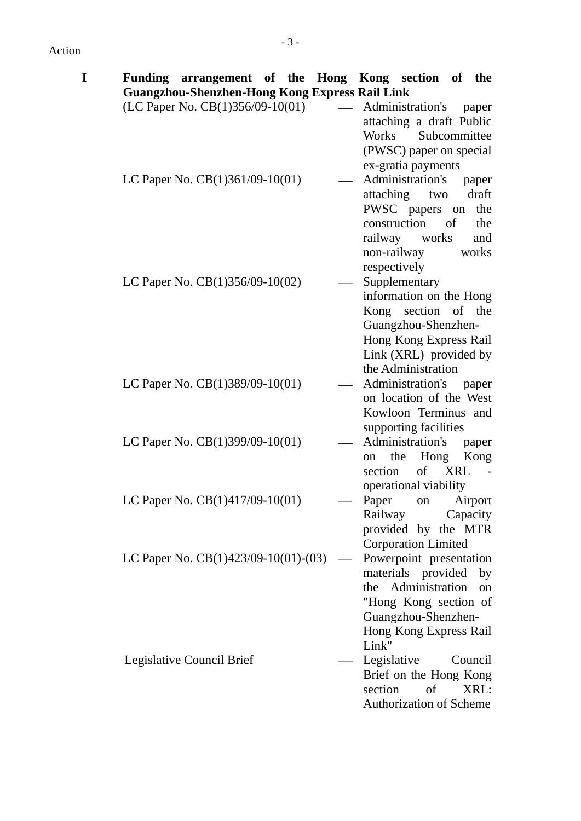## Action

| I |                                                       |                          | Funding arrangement of the Hong Kong section of the |           |
|---|-------------------------------------------------------|--------------------------|-----------------------------------------------------|-----------|
|   | <b>Guangzhou-Shenzhen-Hong Kong Express Rail Link</b> |                          |                                                     |           |
|   | (LC Paper No. CB(1)356/09-10(01)                      | $\overline{\phantom{0}}$ | Administration's                                    | paper     |
|   |                                                       |                          | attaching a draft Public                            |           |
|   |                                                       |                          | Works Subcommittee                                  |           |
|   |                                                       |                          | (PWSC) paper on special                             |           |
|   |                                                       |                          | ex-gratia payments                                  |           |
|   | LC Paper No. $CB(1)361/09-10(01)$                     |                          | Administration's                                    | paper     |
|   |                                                       |                          | attaching two                                       | draft     |
|   |                                                       |                          | PWSC papers on                                      | the       |
|   |                                                       |                          | construction                                        | of<br>the |
|   |                                                       |                          | railway works                                       | and       |
|   |                                                       |                          | non-railway                                         | works     |
|   |                                                       |                          | respectively                                        |           |
|   | LC Paper No. $CB(1)356/09-10(02)$                     |                          | Supplementary                                       |           |
|   |                                                       |                          | information on the Hong<br>Kong section of the      |           |
|   |                                                       |                          |                                                     |           |
|   |                                                       |                          | Guangzhou-Shenzhen-<br>Hong Kong Express Rail       |           |
|   |                                                       |                          | Link (XRL) provided by                              |           |
|   |                                                       |                          | the Administration                                  |           |
|   | LC Paper No. $CB(1)389/09-10(01)$                     |                          | Administration's                                    | paper     |
|   |                                                       |                          | on location of the West                             |           |
|   |                                                       |                          | Kowloon Terminus and                                |           |
|   |                                                       |                          | supporting facilities                               |           |
|   | LC Paper No. $CB(1)399/09-10(01)$                     |                          | Administration's                                    | paper     |
|   |                                                       |                          | the Hong<br>on                                      | Kong      |
|   |                                                       |                          | of XRL<br>section                                   |           |
|   |                                                       |                          | operational viability                               |           |
|   | LC Paper No. CB(1)417/09-10(01)                       |                          | Paper<br>on                                         | Airport   |
|   |                                                       |                          | Railway                                             | Capacity  |
|   |                                                       |                          | provided by the MTR                                 |           |
|   |                                                       |                          | <b>Corporation Limited</b>                          |           |
|   | LC Paper No. $CB(1)423/09-10(01)-(03)$                |                          | Powerpoint presentation                             |           |
|   |                                                       |                          | materials provided                                  | by        |
|   |                                                       |                          | the Administration                                  | on        |
|   |                                                       |                          | "Hong Kong section of                               |           |
|   |                                                       |                          | Guangzhou-Shenzhen-                                 |           |
|   |                                                       |                          | Hong Kong Express Rail                              |           |
|   |                                                       |                          | Link"                                               |           |
|   | Legislative Council Brief                             |                          | Legislative                                         | Council   |
|   |                                                       |                          | Brief on the Hong Kong                              |           |
|   |                                                       |                          | section<br>of                                       | XRL:      |
|   |                                                       |                          | <b>Authorization of Scheme</b>                      |           |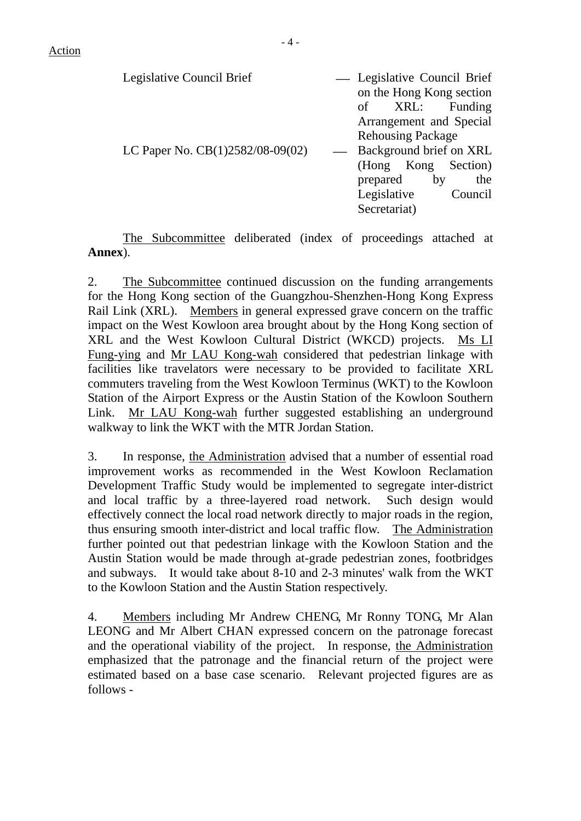| Legislative Council Brief          | - Legislative Council Brief |
|------------------------------------|-----------------------------|
|                                    | on the Hong Kong section    |
|                                    | Funding<br>XRL:<br>of       |
|                                    | Arrangement and Special     |
|                                    | <b>Rehousing Package</b>    |
| LC Paper No. $CB(1)2582/08-09(02)$ | Background brief on XRL     |
|                                    | (Hong Kong Section)         |
|                                    | prepared<br>the<br>by       |
|                                    | Legislative<br>Council      |
|                                    | Secretariat)                |

The Subcommittee deliberated (index of proceedings attached at **Annex**).

2. The Subcommittee continued discussion on the funding arrangements for the Hong Kong section of the Guangzhou-Shenzhen-Hong Kong Express Rail Link (XRL). Members in general expressed grave concern on the traffic impact on the West Kowloon area brought about by the Hong Kong section of XRL and the West Kowloon Cultural District (WKCD) projects. Ms LI Fung-ying and Mr LAU Kong-wah considered that pedestrian linkage with facilities like travelators were necessary to be provided to facilitate XRL commuters traveling from the West Kowloon Terminus (WKT) to the Kowloon Station of the Airport Express or the Austin Station of the Kowloon Southern Link. Mr LAU Kong-wah further suggested establishing an underground walkway to link the WKT with the MTR Jordan Station.

3. In response, the Administration advised that a number of essential road improvement works as recommended in the West Kowloon Reclamation Development Traffic Study would be implemented to segregate inter-district and local traffic by a three-layered road network. Such design would effectively connect the local road network directly to major roads in the region, thus ensuring smooth inter-district and local traffic flow. The Administration further pointed out that pedestrian linkage with the Kowloon Station and the Austin Station would be made through at-grade pedestrian zones, footbridges and subways. It would take about 8-10 and 2-3 minutes' walk from the WKT to the Kowloon Station and the Austin Station respectively.

4. Members including Mr Andrew CHENG, Mr Ronny TONG, Mr Alan LEONG and Mr Albert CHAN expressed concern on the patronage forecast and the operational viability of the project. In response, the Administration emphasized that the patronage and the financial return of the project were estimated based on a base case scenario. Relevant projected figures are as follows -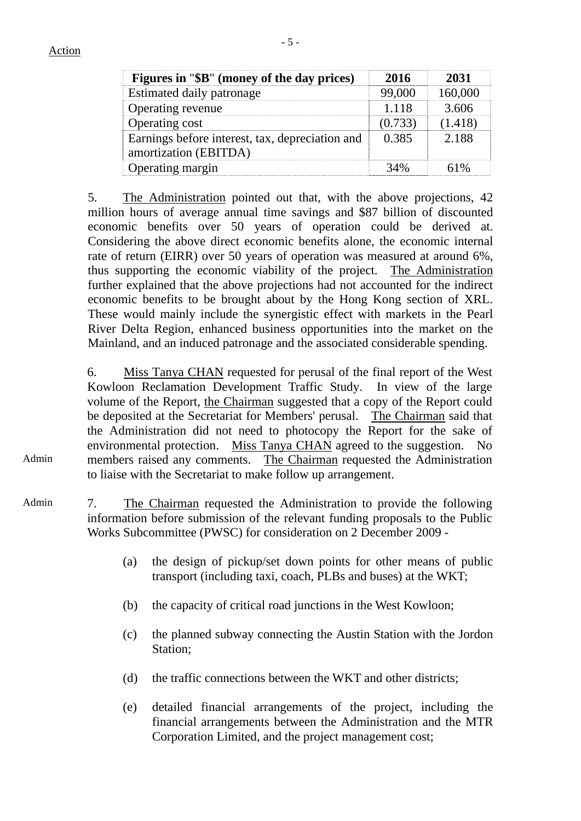Admin

| Figures in "\$B" (money of the day prices)                               | 2016    | 2031    |
|--------------------------------------------------------------------------|---------|---------|
| Estimated daily patronage                                                |         | 160.000 |
| Operating revenue                                                        | 1 1 1 8 | 3.606   |
| Operating cost                                                           |         |         |
| Earnings before interest, tax, depreciation and<br>amortization (EBITDA) | 0.385   | 2.188   |
| Operating margin                                                         |         |         |

5. The Administration pointed out that, with the above projections, 42 million hours of average annual time savings and \$87 billion of discounted economic benefits over 50 years of operation could be derived at. Considering the above direct economic benefits alone, the economic internal rate of return (EIRR) over 50 years of operation was measured at around 6%, thus supporting the economic viability of the project. The Administration further explained that the above projections had not accounted for the indirect economic benefits to be brought about by the Hong Kong section of XRL. These would mainly include the synergistic effect with markets in the Pearl River Delta Region, enhanced business opportunities into the market on the Mainland, and an induced patronage and the associated considerable spending.

6. Miss Tanya CHAN requested for perusal of the final report of the West Kowloon Reclamation Development Traffic Study. In view of the large volume of the Report, the Chairman suggested that a copy of the Report could be deposited at the Secretariat for Members' perusal. The Chairman said that the Administration did not need to photocopy the Report for the sake of environmental protection. Miss Tanya CHAN agreed to the suggestion. No members raised any comments. The Chairman requested the Administration to liaise with the Secretariat to make follow up arrangement.

- Admin 7. The Chairman requested the Administration to provide the following information before submission of the relevant funding proposals to the Public Works Subcommittee (PWSC) for consideration on 2 December 2009 -
	- (a) the design of pickup/set down points for other means of public transport (including taxi, coach, PLBs and buses) at the WKT;
	- (b) the capacity of critical road junctions in the West Kowloon;
	- (c) the planned subway connecting the Austin Station with the Jordon Station;
	- (d) the traffic connections between the WKT and other districts;
	- (e) detailed financial arrangements of the project, including the financial arrangements between the Administration and the MTR Corporation Limited, and the project management cost;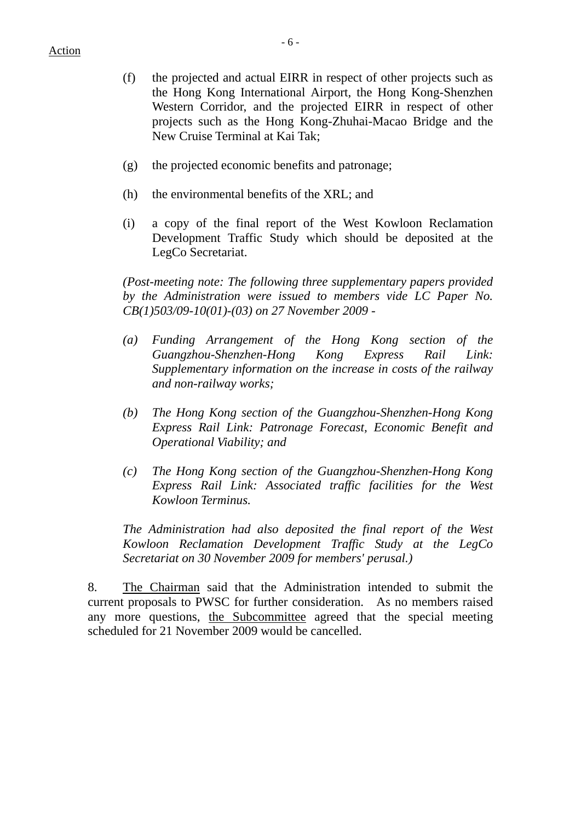- (f) the projected and actual EIRR in respect of other projects such as the Hong Kong International Airport, the Hong Kong-Shenzhen Western Corridor, and the projected EIRR in respect of other projects such as the Hong Kong-Zhuhai-Macao Bridge and the New Cruise Terminal at Kai Tak;
- (g) the projected economic benefits and patronage;
- (h) the environmental benefits of the XRL; and
- (i) a copy of the final report of the West Kowloon Reclamation Development Traffic Study which should be deposited at the LegCo Secretariat.

*(Post-meeting note: The following three supplementary papers provided by the Administration were issued to members vide LC Paper No. CB(1)503/09-10(01)-(03) on 27 November 2009 -* 

- *(a) Funding Arrangement of the Hong Kong section of the Guangzhou-Shenzhen-Hong Kong Express Rail Link: Supplementary information on the increase in costs of the railway and non-railway works;*
- *(b) The Hong Kong section of the Guangzhou-Shenzhen-Hong Kong Express Rail Link: Patronage Forecast, Economic Benefit and Operational Viability; and*
- *(c) The Hong Kong section of the Guangzhou-Shenzhen-Hong Kong Express Rail Link: Associated traffic facilities for the West Kowloon Terminus.*

*The Administration had also deposited the final report of the West Kowloon Reclamation Development Traffic Study at the LegCo Secretariat on 30 November 2009 for members' perusal.)*

8. The Chairman said that the Administration intended to submit the current proposals to PWSC for further consideration. As no members raised any more questions, the Subcommittee agreed that the special meeting scheduled for 21 November 2009 would be cancelled.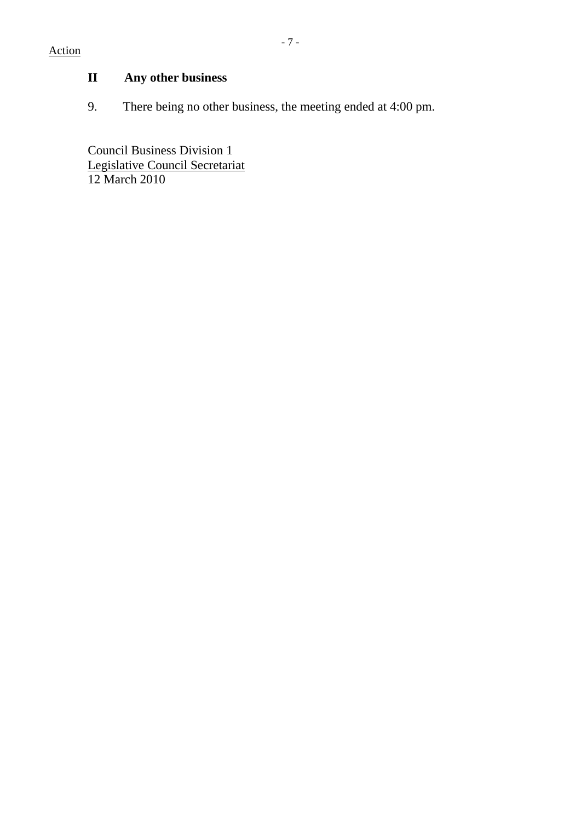# **II Any other business**

9. There being no other business, the meeting ended at 4:00 pm.

Council Business Division 1 Legislative Council Secretariat 12 March 2010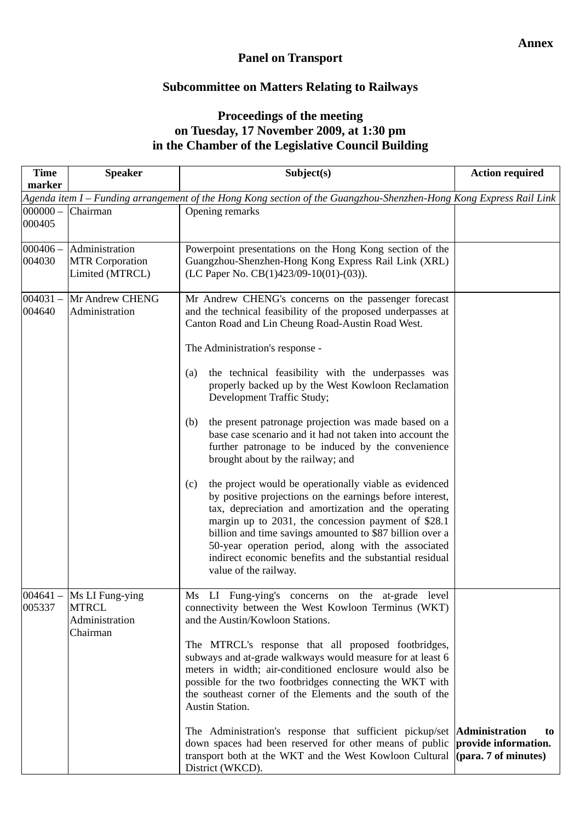### **Panel on Transport**

### **Subcommittee on Matters Relating to Railways**

### **Proceedings of the meeting on Tuesday, 17 November 2009, at 1:30 pm in the Chamber of the Legislative Council Building**

| <b>Time</b><br>marker | <b>Speaker</b>                                                                                                     | Subject(s)                                                                                                                                                                                                                                                                                                                                                                                                                                                                                                                                                                                                                                                                                                                                                                                                                                                                                                                                                                                                                             | <b>Action required</b>     |  |  |  |
|-----------------------|--------------------------------------------------------------------------------------------------------------------|----------------------------------------------------------------------------------------------------------------------------------------------------------------------------------------------------------------------------------------------------------------------------------------------------------------------------------------------------------------------------------------------------------------------------------------------------------------------------------------------------------------------------------------------------------------------------------------------------------------------------------------------------------------------------------------------------------------------------------------------------------------------------------------------------------------------------------------------------------------------------------------------------------------------------------------------------------------------------------------------------------------------------------------|----------------------------|--|--|--|
|                       | Agenda item I – Funding arrangement of the Hong Kong section of the Guangzhou-Shenzhen-Hong Kong Express Rail Link |                                                                                                                                                                                                                                                                                                                                                                                                                                                                                                                                                                                                                                                                                                                                                                                                                                                                                                                                                                                                                                        |                            |  |  |  |
| $000000 -$<br>000405  | Chairman                                                                                                           | Opening remarks                                                                                                                                                                                                                                                                                                                                                                                                                                                                                                                                                                                                                                                                                                                                                                                                                                                                                                                                                                                                                        |                            |  |  |  |
| $000406 -$<br>004030  | Administration<br><b>MTR Corporation</b><br>Limited (MTRCL)                                                        | Powerpoint presentations on the Hong Kong section of the<br>Guangzhou-Shenzhen-Hong Kong Express Rail Link (XRL)<br>(LC Paper No. CB $(1)423/09-10(01)-(03)$ ).                                                                                                                                                                                                                                                                                                                                                                                                                                                                                                                                                                                                                                                                                                                                                                                                                                                                        |                            |  |  |  |
| $004031 -$<br>004640  | Mr Andrew CHENG<br>Administration                                                                                  | Mr Andrew CHENG's concerns on the passenger forecast<br>and the technical feasibility of the proposed underpasses at<br>Canton Road and Lin Cheung Road-Austin Road West.<br>The Administration's response -<br>the technical feasibility with the underpasses was<br>(a)<br>properly backed up by the West Kowloon Reclamation<br>Development Traffic Study;<br>the present patronage projection was made based on a<br>(b)<br>base case scenario and it had not taken into account the<br>further patronage to be induced by the convenience<br>brought about by the railway; and<br>the project would be operationally viable as evidenced<br>(c)<br>by positive projections on the earnings before interest,<br>tax, depreciation and amortization and the operating<br>margin up to 2031, the concession payment of \$28.1<br>billion and time savings amounted to \$87 billion over a<br>50-year operation period, along with the associated<br>indirect economic benefits and the substantial residual<br>value of the railway. |                            |  |  |  |
| 005337                | $004641 -$ Ms LI Fung-ying<br><b>MTRCL</b><br>Administration<br>Chairman                                           | Ms LI Fung-ying's concerns on the at-grade level<br>connectivity between the West Kowloon Terminus (WKT)<br>and the Austin/Kowloon Stations.<br>The MTRCL's response that all proposed footbridges,<br>subways and at-grade walkways would measure for at least 6<br>meters in width; air-conditioned enclosure would also be<br>possible for the two footbridges connecting the WKT with<br>the southeast corner of the Elements and the south of the<br>Austin Station.<br>The Administration's response that sufficient pickup/set <b>Administration</b><br>down spaces had been reserved for other means of public                                                                                                                                                                                                                                                                                                                                                                                                                 | to<br>provide information. |  |  |  |
|                       |                                                                                                                    | transport both at the WKT and the West Kowloon Cultural (para. 7 of minutes)<br>District (WKCD).                                                                                                                                                                                                                                                                                                                                                                                                                                                                                                                                                                                                                                                                                                                                                                                                                                                                                                                                       |                            |  |  |  |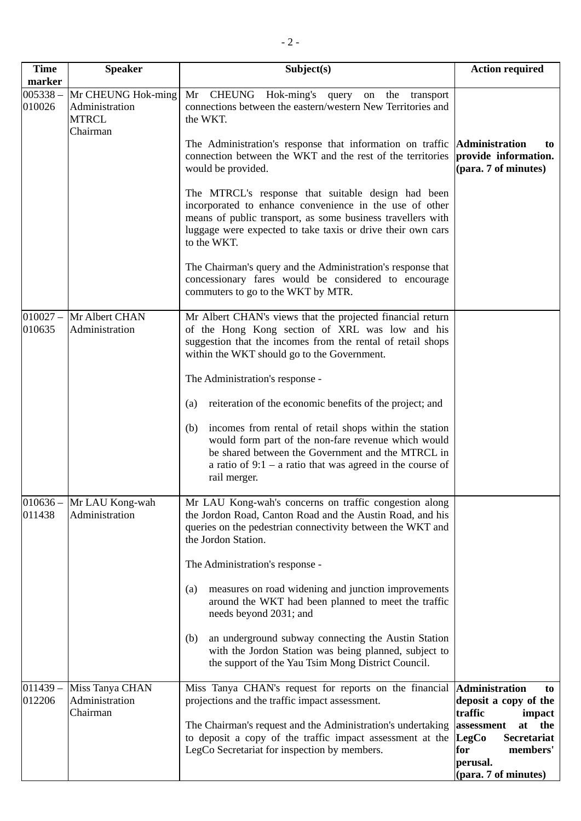| <b>Time</b><br>marker | <b>Speaker</b>                                                   | Subject(s)                                                                                                                                                                                                                                                 | <b>Action required</b>                                                                                 |
|-----------------------|------------------------------------------------------------------|------------------------------------------------------------------------------------------------------------------------------------------------------------------------------------------------------------------------------------------------------------|--------------------------------------------------------------------------------------------------------|
| $005338 -$<br>010026  | Mr CHEUNG Hok-ming<br>Administration<br><b>MTRCL</b><br>Chairman | CHEUNG Hok-ming's query<br>Mr<br>on the transport<br>connections between the eastern/western New Territories and<br>the WKT.                                                                                                                               |                                                                                                        |
|                       |                                                                  | The Administration's response that information on traffic <b>Administration</b><br>connection between the WKT and the rest of the territories<br>would be provided.                                                                                        | to<br>provide information.<br>(para. 7 of minutes)                                                     |
|                       |                                                                  | The MTRCL's response that suitable design had been<br>incorporated to enhance convenience in the use of other<br>means of public transport, as some business travellers with<br>luggage were expected to take taxis or drive their own cars<br>to the WKT. |                                                                                                        |
|                       |                                                                  | The Chairman's query and the Administration's response that<br>concessionary fares would be considered to encourage<br>commuters to go to the WKT by MTR.                                                                                                  |                                                                                                        |
| $010027 -$<br>010635  | Mr Albert CHAN<br>Administration                                 | Mr Albert CHAN's views that the projected financial return<br>of the Hong Kong section of XRL was low and his<br>suggestion that the incomes from the rental of retail shops<br>within the WKT should go to the Government.                                |                                                                                                        |
|                       |                                                                  | The Administration's response -                                                                                                                                                                                                                            |                                                                                                        |
|                       |                                                                  | reiteration of the economic benefits of the project; and<br>(a)                                                                                                                                                                                            |                                                                                                        |
|                       |                                                                  | incomes from rental of retail shops within the station<br>(b)<br>would form part of the non-fare revenue which would<br>be shared between the Government and the MTRCL in<br>a ratio of $9:1$ – a ratio that was agreed in the course of<br>rail merger.   |                                                                                                        |
| 011438                | 010636 - Mr LAU Kong-wah<br>Administration                       | Mr LAU Kong-wah's concerns on traffic congestion along<br>the Jordon Road, Canton Road and the Austin Road, and his<br>queries on the pedestrian connectivity between the WKT and<br>the Jordon Station.                                                   |                                                                                                        |
|                       |                                                                  | The Administration's response -                                                                                                                                                                                                                            |                                                                                                        |
|                       |                                                                  | measures on road widening and junction improvements<br>(a)<br>around the WKT had been planned to meet the traffic<br>needs beyond 2031; and                                                                                                                |                                                                                                        |
|                       |                                                                  | an underground subway connecting the Austin Station<br>(b)<br>with the Jordon Station was being planned, subject to<br>the support of the Yau Tsim Mong District Council.                                                                                  |                                                                                                        |
| $011439 -$<br>012206  | Miss Tanya CHAN<br>Administration<br>Chairman                    | Miss Tanya CHAN's request for reports on the financial<br>projections and the traffic impact assessment.                                                                                                                                                   | <b>Administration</b><br>to<br>deposit a copy of the<br>traffic<br>impact                              |
|                       |                                                                  | The Chairman's request and the Administration's undertaking<br>to deposit a copy of the traffic impact assessment at the<br>LegCo Secretariat for inspection by members.                                                                                   | at<br>the<br>assessment<br>LegCo<br>Secretariat<br>members'<br>for<br>perusal.<br>(para. 7 of minutes) |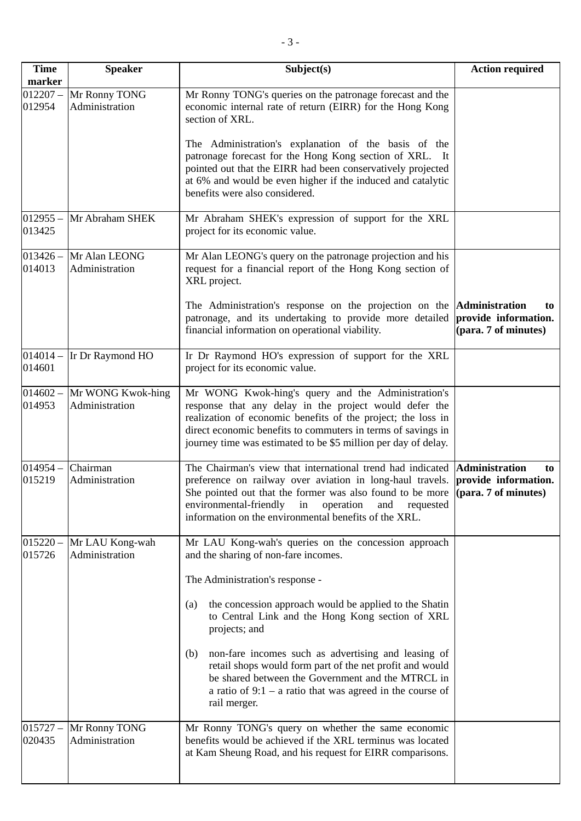| <b>Time</b><br>marker | <b>Speaker</b>                                 | Subject(s)                                                                                                                                                                                                                                                                                                                                                                              | <b>Action required</b>     |
|-----------------------|------------------------------------------------|-----------------------------------------------------------------------------------------------------------------------------------------------------------------------------------------------------------------------------------------------------------------------------------------------------------------------------------------------------------------------------------------|----------------------------|
| 012954                | 012207 - Mr Ronny TONG<br>Administration       | Mr Ronny TONG's queries on the patronage forecast and the<br>economic internal rate of return (EIRR) for the Hong Kong<br>section of XRL.<br>The Administration's explanation of the basis of the<br>patronage forecast for the Hong Kong section of XRL. It                                                                                                                            |                            |
|                       |                                                | pointed out that the EIRR had been conservatively projected<br>at 6% and would be even higher if the induced and catalytic<br>benefits were also considered.                                                                                                                                                                                                                            |                            |
| 013425                | 012955 - Mr Abraham SHEK                       | Mr Abraham SHEK's expression of support for the XRL<br>project for its economic value.                                                                                                                                                                                                                                                                                                  |                            |
| $013426 -$<br>014013  | Mr Alan LEONG<br>Administration                | Mr Alan LEONG's query on the patronage projection and his<br>request for a financial report of the Hong Kong section of<br>XRL project.                                                                                                                                                                                                                                                 |                            |
|                       |                                                | The Administration's response on the projection on the <b>Administration</b><br>patronage, and its undertaking to provide more detailed provide information.<br>financial information on operational viability.                                                                                                                                                                         | to<br>(para. 7 of minutes) |
| 014601                | $014014 -$ Ir Dr Raymond HO                    | Ir Dr Raymond HO's expression of support for the XRL<br>project for its economic value.                                                                                                                                                                                                                                                                                                 |                            |
| 014953                | $014602 -$ Mr WONG Kwok-hing<br>Administration | Mr WONG Kwok-hing's query and the Administration's<br>response that any delay in the project would defer the<br>realization of economic benefits of the project; the loss in<br>direct economic benefits to commuters in terms of savings in<br>journey time was estimated to be \$5 million per day of delay.                                                                          |                            |
| $014954 -$<br>015219  | Chairman<br>Administration                     | The Chairman's view that international trend had indicated <b>Administration</b><br>preference on railway over aviation in long-haul travels. <b>provide information.</b><br>She pointed out that the former was also found to be more $(para. 7 of minutes)$<br>environmental-friendly<br>in<br>operation<br>and<br>requested<br>information on the environmental benefits of the XRL. | to                         |
| $015220 -$<br>015726  | Mr LAU Kong-wah<br>Administration              | Mr LAU Kong-wah's queries on the concession approach<br>and the sharing of non-fare incomes.                                                                                                                                                                                                                                                                                            |                            |
|                       |                                                | The Administration's response -                                                                                                                                                                                                                                                                                                                                                         |                            |
|                       |                                                | the concession approach would be applied to the Shatin<br>(a)<br>to Central Link and the Hong Kong section of XRL<br>projects; and                                                                                                                                                                                                                                                      |                            |
|                       |                                                | non-fare incomes such as advertising and leasing of<br>(b)<br>retail shops would form part of the net profit and would<br>be shared between the Government and the MTRCL in<br>a ratio of $9:1$ – a ratio that was agreed in the course of<br>rail merger.                                                                                                                              |                            |
| $015727 -$<br>020435  | Mr Ronny TONG<br>Administration                | Mr Ronny TONG's query on whether the same economic<br>benefits would be achieved if the XRL terminus was located<br>at Kam Sheung Road, and his request for EIRR comparisons.                                                                                                                                                                                                           |                            |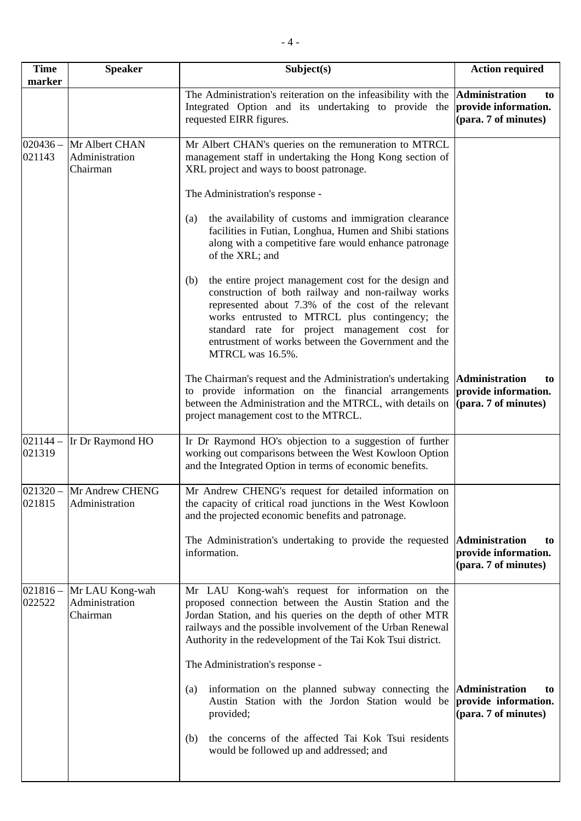| <b>Time</b><br>marker | <b>Speaker</b>                                | Subject(s)                                                                                                                                                                                                                                                                                                                                             | <b>Action required</b>                                               |
|-----------------------|-----------------------------------------------|--------------------------------------------------------------------------------------------------------------------------------------------------------------------------------------------------------------------------------------------------------------------------------------------------------------------------------------------------------|----------------------------------------------------------------------|
|                       |                                               | The Administration's reiteration on the infeasibility with the <b>Administration</b><br>Integrated Option and its undertaking to provide the<br>requested EIRR figures.                                                                                                                                                                                | to<br>provide information.<br>(para. 7 of minutes)                   |
| $020436 -$<br>021143  | Mr Albert CHAN<br>Administration<br>Chairman  | Mr Albert CHAN's queries on the remuneration to MTRCL<br>management staff in undertaking the Hong Kong section of<br>XRL project and ways to boost patronage.                                                                                                                                                                                          |                                                                      |
|                       |                                               | The Administration's response -                                                                                                                                                                                                                                                                                                                        |                                                                      |
|                       |                                               | the availability of customs and immigration clearance<br>(a)<br>facilities in Futian, Longhua, Humen and Shibi stations<br>along with a competitive fare would enhance patronage<br>of the XRL; and                                                                                                                                                    |                                                                      |
|                       |                                               | the entire project management cost for the design and<br>(b)<br>construction of both railway and non-railway works<br>represented about 7.3% of the cost of the relevant<br>works entrusted to MTRCL plus contingency; the<br>standard rate for project management cost for<br>entrustment of works between the Government and the<br>MTRCL was 16.5%. |                                                                      |
|                       |                                               | The Chairman's request and the Administration's undertaking  Administration<br>to provide information on the financial arrangements<br>between the Administration and the MTRCL, with details on (para. 7 of minutes)<br>project management cost to the MTRCL.                                                                                         | to<br>provide information.                                           |
| $021144 -$<br>021319  | Ir Dr Raymond HO                              | Ir Dr Raymond HO's objection to a suggestion of further<br>working out comparisons between the West Kowloon Option<br>and the Integrated Option in terms of economic benefits.                                                                                                                                                                         |                                                                      |
| 021815                | 021320 - Mr Andrew CHENG<br>Administration    | Mr Andrew CHENG's request for detailed information on<br>the capacity of critical road junctions in the West Kowloon<br>and the projected economic benefits and patronage.                                                                                                                                                                             |                                                                      |
|                       |                                               | The Administration's undertaking to provide the requested<br>information.                                                                                                                                                                                                                                                                              | Administration<br>to<br>provide information.<br>(para. 7 of minutes) |
| $021816 -$<br>022522  | Mr LAU Kong-wah<br>Administration<br>Chairman | Mr LAU Kong-wah's request for information on the<br>proposed connection between the Austin Station and the<br>Jordan Station, and his queries on the depth of other MTR<br>railways and the possible involvement of the Urban Renewal<br>Authority in the redevelopment of the Tai Kok Tsui district.<br>The Administration's response -               |                                                                      |
|                       |                                               | information on the planned subway connecting the <b>Administration</b><br>(a)<br>Austin Station with the Jordon Station would be<br>provided;                                                                                                                                                                                                          | to<br>provide information.<br>(para. 7 of minutes)                   |
|                       |                                               | the concerns of the affected Tai Kok Tsui residents<br>(b)<br>would be followed up and addressed; and                                                                                                                                                                                                                                                  |                                                                      |